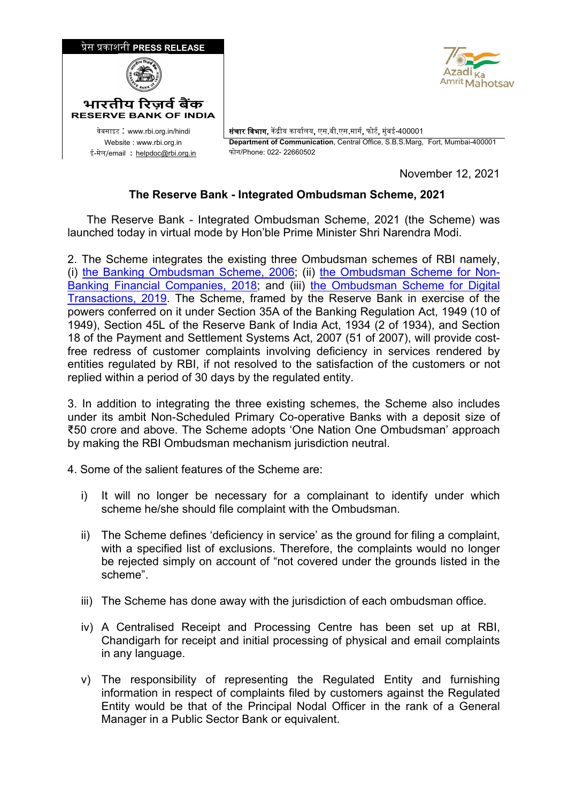

November 12, 2021

## **The Reserve Bank - Integrated Ombudsman Scheme, 2021**

 The Reserve Bank - Integrated Ombudsman Scheme, 2021 (the Scheme) was launched today in virtual mode by Hon'ble Prime Minister Shri Narendra Modi.

2. The Scheme integrates the existing three Ombudsman schemes of RBI namely, (i) [the Banking Ombudsman Scheme, 2006;](https://rbidocs.rbi.org.in/rdocs/Content/PDFs/BOS2006_2302017.pdf) (ii) [the Ombudsman Scheme for Non-](https://rbidocs.rbi.org.in/rdocs/Content/PDFs/NBFC23022018.pdf)[Banking Financial Companies, 2018;](https://rbidocs.rbi.org.in/rdocs/Content/PDFs/NBFC23022018.pdf) and (iii) [the Ombudsman Scheme for Digital](https://rbidocs.rbi.org.in/rdocs/Content/PDFs/OSDT31012019.pdf)  [Transactions, 2019.](https://rbidocs.rbi.org.in/rdocs/Content/PDFs/OSDT31012019.pdf) The Scheme, framed by the Reserve Bank in exercise of the powers conferred on it under Section 35A of the Banking Regulation Act, 1949 (10 of 1949), Section 45L of the Reserve Bank of India Act, 1934 (2 of 1934), and Section 18 of the Payment and Settlement Systems Act, 2007 (51 of 2007), will provide costfree redress of customer complaints involving deficiency in services rendered by entities regulated by RBI, if not resolved to the satisfaction of the customers or not replied within a period of 30 days by the regulated entity.

3. In addition to integrating the three existing schemes, the Scheme also includes under its ambit Non-Scheduled Primary Co-operative Banks with a deposit size of ₹50 crore and above. The Scheme adopts 'One Nation One Ombudsman' approach by making the RBI Ombudsman mechanism jurisdiction neutral.

4. Some of the salient features of the Scheme are:

- i) It will no longer be necessary for a complainant to identify under which scheme he/she should file complaint with the Ombudsman.
- ii) The Scheme defines 'deficiency in service' as the ground for filing a complaint, with a specified list of exclusions. Therefore, the complaints would no longer be rejected simply on account of "not covered under the grounds listed in the scheme".
- iii) The Scheme has done away with the jurisdiction of each ombudsman office.
- iv) A Centralised Receipt and Processing Centre has been set up at RBI, Chandigarh for receipt and initial processing of physical and email complaints in any language.
- v) The responsibility of representing the Regulated Entity and furnishing information in respect of complaints filed by customers against the Regulated Entity would be that of the Principal Nodal Officer in the rank of a General Manager in a Public Sector Bank or equivalent.